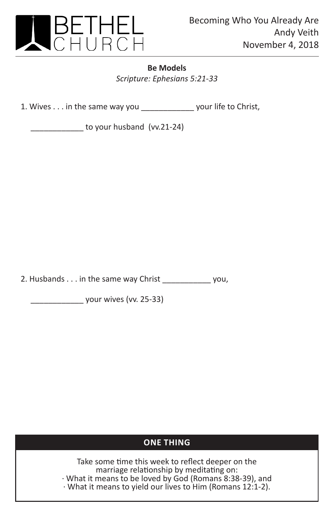

## **Be Models**

*Scripture: Ephesians 5:21-33*

1. Wives . . . in the same way you \_\_\_\_\_\_\_\_\_\_\_\_ your life to Christ,

to your husband (vv.21-24)

2. Husbands . . . in the same way Christ \_\_\_\_\_\_\_\_\_\_\_ you,

\_\_\_\_\_\_\_\_\_\_\_\_ your wives (vv. 25-33)

## **ONE THING**

Take some time this week to reflect deeper on the marriage relationship by meditating on: · What it means to be loved by God (Romans 8:38-39), and · What it means to yield our lives to Him (Romans 12:1-2).